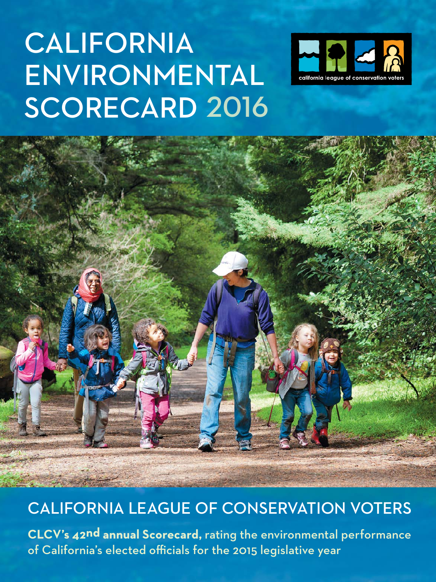# **CALIFORNIA** Environmental SCORECARD 2016





# California League of Conservation Voters

**CLCV's 42nd annual Scorecard,** rating the environmental performance of California's elected officials for the 2015 legislative year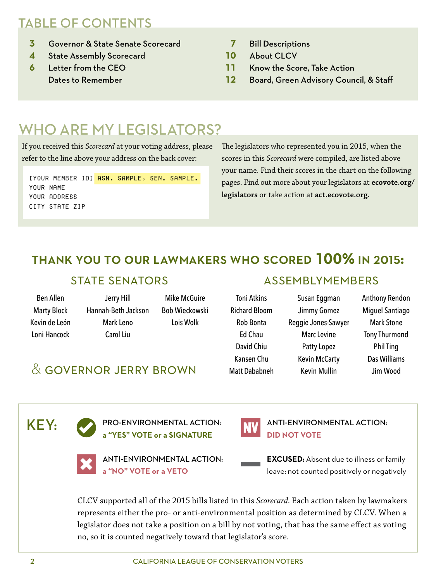## TABLE OF CONTENTS

- **3** Governor & State Senate Scorecard
- **4** State Assembly Scorecard
- **6** Letter from the CEO Dates to Remember
- **7** Bill Descriptions
- **10** About CLCV
- **11** Know the Score, Take Action
- **12** Board, Green Advisory Council, & Staff

# WHO ARE MY LEGISLATORS?

If you received this *Scorecard* at your voting address, please refer to the line above your address on the back cover:

[YOUR MEMBER ID] ASM. SAMPLE, SEN. SAMPLE. Your name your address city state zip

The legislators who represented you in 2015, when the scores in this *Scorecard* were compiled, are listed above your name. Find their scores in the chart on the following pages. Find out more about your legislators at **[ecovote.org/](http://www.ecovote.org/legislators) [legislators](http://www.ecovote.org/legislators)** or take action at **[act.ecovote.org](http://act.ecovote.org/)**.

### thank you to our lawmakers who scored **100%** in 2015**:**

#### state senators assemblymembers

Ben Allen Marty Block Kevin de León Loni Hancock

Jerry Hill Hannah-Beth Jackson Mark Leno Carol Liu

& governor jerry brown

Mike McGuire Bob Wieckowski Lois Wolk

Toni Atkins Richard Bloom Rob Bonta Ed Chau David Chiu Kansen Chu Matt Dababneh

Susan Eggman Jimmy Gomez Reggie Jones-Sawyer Marc Levine Patty Lopez Kevin McCarty Kevin Mullin

Anthony Rendon Miguel Santiago Mark Stone Tony Thurmond Phil Ting Das Williams Jim Wood

key:

PRO-ENVIRONMENTAL ACTION: **a "YES" VOTE or a SIGNATURE**



ANTI-ENVIRONMENTAL ACTION: **a "NO" VOTE or a VETO**



ANTI-ENVIRONMENTAL ACTION: **DID NOT VOTE**

**EXCUSED:** Absent due to illness or family leave; not counted positively or negatively

CLCV supported all of the 2015 bills listed in this *Scorecard*. Each action taken by lawmakers represents either the pro- or anti-environmental position as determined by CLCV. When a legislator does not take a position on a bill by not voting, that has the same effect as voting no, so it is counted negatively toward that legislator's score.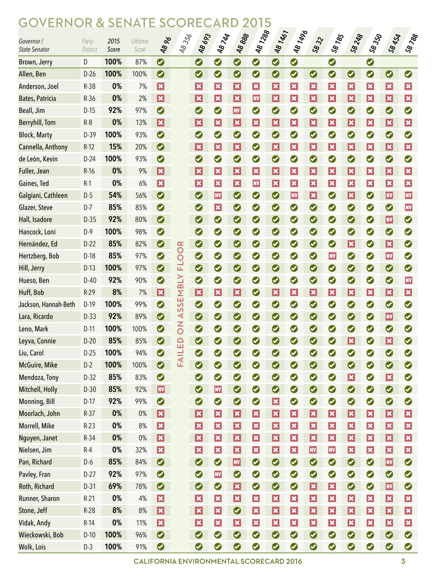### GOVERNOR & SENATE SCORECARD 2015

| Governor /<br><b>State Senator</b> | Party-<br>District | 2015<br>Score | Lifetime<br>Score | <b>48 %</b>              | 48356          | <b>48693</b>                | <b>AB 744</b>                                  | 48888                       | <b>481288</b>   | 48 1467          | <b>481496</b>   | $S_{8}32$                   | <b>SB185</b>                | <b>SB 248</b>            | <b>SB 350</b>   | <b>SB 454</b>           | SB788                       |
|------------------------------------|--------------------|---------------|-------------------|--------------------------|----------------|-----------------------------|------------------------------------------------|-----------------------------|-----------------|------------------|-----------------|-----------------------------|-----------------------------|--------------------------|-----------------|-------------------------|-----------------------------|
| Brown, Jerry                       | D                  | 100%          | 87%               | $\bullet$                |                | $\bullet$                   | 0                                              | $\bullet$                   | $\bullet$       | 0                | $\bullet$       |                             | $\bullet$                   |                          | $\bullet$       |                         |                             |
| Allen, Ben                         | $D-26$             | 100%          | 100%              | $\bullet$                |                | $\bullet$                   | 0                                              | $\bullet$                   | $\bullet$       | 0                | $\bullet$       | $\bullet$                   | $\bullet$                   | $\bullet$                | $\bullet$       | $\bullet$               | $\bullet$                   |
| Anderson, Joel                     | R-38               | 0%            | 7%                | $ \mathbf{x} $           |                | $ \boldsymbol{\mathsf{x}} $ | $ \mathbf{x} $                                 | $ \mathbf{x} $              | $ \mathbf{x} $  | $ \mathbf{x} $   | $\vert x \vert$ | $ \boldsymbol{\mathsf{x}} $ | $\vert x \vert$             | $ \mathbf{x} $           | $ \mathbf{x} $  | $\vert x \vert$         | $ \boldsymbol{\mathsf{x}} $ |
| <b>Bates, Patricia</b>             | $R-36$             | 0%            | 2%                | $ \mathbf{x} $           |                | $ \boldsymbol{\mathsf{x}} $ | $ \mathbf{x} $                                 | $ \boldsymbol{\mathsf{x}} $ | <b>NV</b>       | $ \mathbf{x} $   | $ \mathbf{x} $  | $ \boldsymbol{\mathsf{x}} $ | $ \boldsymbol{\mathsf{x}} $ | $ \mathbf{x} $           | $ \mathbf{x} $  | $\vert x \vert$         | $ \mathbf{x} $              |
| Beall, Jim                         | $D-15$             | 92%           | 97%               | $\bullet$                |                | $\bullet$                   | Ø                                              | <b>NV</b>                   | $\bullet$       | $\bullet$        | $\bullet$       | $\bullet$                   | $\bullet$                   | $\bullet$                | $\bullet$       | Ø                       | $\bullet$                   |
| <b>Berryhill, Tom</b>              | $R-8$              | 0%            | 13%               | $ \mathbf{x} $           |                | $ \boldsymbol{\mathsf{x}} $ | $ \mathbf{x} $                                 | $ \mathbf{x} $              | $ \mathbf{x} $  | $ \mathbf{x} $   | $ \mathbf{x} $  | $ \boldsymbol{\mathsf{x}} $ | $ \boldsymbol{\mathsf{x}} $ | $ \mathbf{x} $           | $ \mathbf{x} $  | $\vert x \vert$         | $ \mathbf{x} $              |
| <b>Block, Marty</b>                | D-39               | 100%          | 93%               | $\bullet$                |                | $\bullet$                   | $\bullet$                                      | $\bullet$                   | $\bullet$       | $\bullet$        | $\bullet$       | $\bullet$                   | $\bullet$                   | $\bullet$                | $\bullet$       | Ø                       | $\bullet$                   |
| Cannella, Anthony                  | $R-12$             | 15%           | 20%               | $\bullet$                |                | $ \boldsymbol{\mathsf{x}} $ | $ \mathbf{x} $                                 | $ \mathbf{x} $              | $\bullet$       | $ \mathbf{x} $   | $ \mathbf{x} $  | $ \boldsymbol{\mathsf{x}} $ | $ \boldsymbol{\mathsf{x}} $ | $ \mathbf{x} $           | $ \mathbf{x} $  | $\vert x \vert$         | $ \mathbf{x} $              |
| de León, Kevin                     | $D-24$             | 100%          | 93%               | $\bullet$                |                | $\bullet$                   | $\bullet$                                      | $\bullet$                   | $\bullet$       | $\bullet$        | $\bullet$       | $\bullet$                   | $\bullet$                   | $\bullet$                | $\bullet$       | Ø                       | $\bullet$                   |
| Fuller, Jean                       | $R-16$             | 0%            | 9%                | $ \mathbf{x} $           |                | $ \boldsymbol{\mathsf{x}} $ | $ \mathbf{x} $                                 | $ \mathbf{x} $              | $ \mathbf{x} $  | $ \mathbf{x} $   | $ \mathbf{x} $  | $ \boldsymbol{\mathsf{x}} $ | $ \boldsymbol{\mathsf{x}} $ | $ \mathbf{x} $           | $ \mathbf{x} $  | $\vert x \vert$         | $ \mathbf{x} $              |
| Gaines, Ted                        | $R-1$              | 0%            | 6%                | $ \mathbf{x} $           |                | $ \mathbf{x} $              | $ \mathbf{x} $                                 | $ \mathbf{x} $              | <b>NV</b>       | $ \mathbf{x} $   | $ \mathbf{x} $  | $ \boldsymbol{\mathsf{x}} $ | $ \boldsymbol{\mathsf{x}} $ | $ \mathbf{x} $           | $ \mathbf{x} $  | $\vert x \vert$         | $ \mathbf{x} $              |
| Galgiani, Cathleen                 | $D-5$              | 54%           | 56%               | $\bullet$                |                | $\bullet$                   | <b>NV</b>                                      | $\bullet$                   | $\bullet$       | 0                | <b>NV</b>       | $ \boldsymbol{\mathsf{x}} $ | $\bullet$                   | $ \mathbf{x} $           | $\bullet$       | <b>NV</b>               | <b>NV</b>                   |
| Glazer, Steve                      | $D-7$              | 85%           | 85%               | $\bullet$                |                | $\bullet$                   | $ \mathbf{x} $                                 | $\bullet$                   | $\bullet$       | $\bullet$        | $\bullet$       | $\bullet$                   | $\bullet$                   | $\bullet$                | $\bullet$       | Ø                       | <b>NV</b>                   |
| Hall, Isadore                      | $D-35$             | 92%           | 80%               | $\bullet$                |                | $\bullet$                   | $\bullet$                                      | $\bullet$                   | $\bullet$       | 0                | $\bullet$       | $\bullet$                   | $\bullet$                   | $\bullet$                | $\bullet$       | <b>NV</b>               | $\bullet$                   |
| Hancock, Loni                      | $D-9$              | 100%          | 98%               | $\bullet$                |                | $\bullet$                   | Ø                                              | $\bullet$                   | $\bullet$       | 0                | $\bullet$       | $\bullet$                   | $\bullet$                   | $\bullet$                | $\bullet$       | Ø                       | $\bullet$                   |
| Hernández, Ed                      | $D-22$             | 85%           | 82%               | $\bullet$                |                | $\bullet$                   | Ø                                              | $\bullet$                   | $\bullet$       | 0                | $\bullet$       | $\bullet$                   | $\bullet$                   | $ \mathbf{x} $           | $\bullet$       | $\vert x \vert$         | $\bullet$                   |
| Hertzberg, Bob                     | $D-18$             | 85%           | 97%               | $\bullet$                | OOR            | $\bullet$                   | Ø                                              | $\bullet$                   | $\bullet$       | 0                | $\bullet$       | $\bullet$                   | <b>NV</b>                   | $\bullet$                | $\bullet$       | <b>NV</b>               | $\bullet$                   |
| Hill, Jerry                        | $D-13$             | 100%          | 97%               | $\bullet$                | 군              | $\bullet$                   | Ø                                              | $\bullet$                   | $\bullet$       | 0                | $\bullet$       | $\bullet$                   | $\bullet$                   | $\bullet$                | $\bullet$       | $\bullet$               | $\bullet$                   |
| Hueso, Ben                         | $D-40$             | 92%           | 90%               | $\bullet$                |                | $\bullet$                   | $\bullet$                                      | $\bullet$                   | $\bullet$       | 0                | $\bullet$       | $\bullet$                   | $\bullet$                   | $\bullet$                | $\bullet$       | $\bullet$               | <b>NV</b>                   |
| Huff, Bob                          | $R-29$             | 8%            | 7%                | $\vert x \vert$          | SEMBLY         | $\vert \mathbf{x} \vert$    | $ \mathbf{x} $                                 | $ \mathbf{x} $              | $\bullet$       | $ \mathbf{x} $   | $ \mathbf{x} $  | $ \mathbf{x} $              | $ \boldsymbol{\mathsf{x}} $ | $ \mathbf{x} $           | $ \mathbf{x} $  | $\vert x \vert$         | $ \mathbf{x} $              |
| Jackson, Hannah-Beth               | D-19               | 100%          | 99%               | $\bullet$                |                | $\bullet$                   | Ø                                              | $\bullet$                   | $\bullet$       | 0                | $\bullet$       | $\bullet$                   | $\bullet$                   | $\bullet$                | $\bullet$       | Ø                       | $\bullet$                   |
| Lara, Ricardo                      | $D-33$             | 92%           | 89%               | $\bullet$                | S<br>⋖         | $\bullet$                   | $\bullet$                                      | $\bullet$                   | $\bullet$       | 0                | $\bullet$       | $\bullet$                   | $\bullet$                   | $\bullet$                | $\bullet$       | <b>NV</b>               | $\bullet$                   |
| Leno, Mark                         | $D-11$             | 100%          | 100%              | $\bullet$                | $\overline{6}$ | $\bullet$                   | Ø                                              | $\bullet$                   | $\bullet$       | Ø                | Ø               | Ø                           | $\bullet$                   | $\bullet$                | $\bullet$       | 0                       | Ø                           |
| Leyva, Connie                      | $D-20$             | 85%           | 85%               | $\bullet$                |                | $\bullet$                   | Ø                                              | $\bullet$                   | $\bullet$       | $\boldsymbol{O}$ | $\bullet$       | $\bullet$                   | $\bullet$                   | $ \mathbf{x} $           | $\bullet$       | $\vert x \vert$         | $\bullet$                   |
| Liu, Carol                         | $D-25$             | 100%          | 94%               | $\bullet$                | FAILED         | $\bullet$                   | $\bullet$                                      | $\bullet$                   | $\bullet$       | 0                | $\bullet$       | $\bullet$                   | $\bullet$                   | $\bullet$                | $\bullet$       | $\bullet$               | $\bullet$                   |
| McGuire, Mike                      | $D-2$              | 100%          | 100%              | $\bullet$                |                | $\bullet$                   | $\bullet$                                      | $\bullet$                   | $\bullet$       | $\bullet$        | $\bullet$       | $\bullet$                   | $\bullet$                   | $\bullet$                | $\bullet$       | $\bullet$               | $\bullet$                   |
| Mendoza, Tony                      | $D-32$             | 85%           | 83%               | $\bullet$                |                | $\bullet$                   | $\bullet$                                      | $\bullet$                   | $\bullet$       | 0                | $\bullet$       | $\bullet$                   | $\bullet$                   | $\vert \mathbf{x} \vert$ | $\bullet$       | $\overline{\mathbf{x}}$ | $\bullet$                   |
| Mitchell, Holly                    | $D-30$             | 85%           | 92%               | <b>NV</b>                |                | $\bullet$                   | <b>NV</b>                                      | $\bullet$                   | $\bullet$       | $\bullet$        | $\bullet$       | $\bullet$                   | $\bullet$                   | $\bullet$                | $\bullet$       | $\bullet$               | $\bullet$                   |
| Monning, Bill                      | $D-17$             | 92%           | 99%               | $\bullet$                |                | $\bullet$                   | $\bullet$                                      | $\bullet$                   | $\bullet$       | $\vert x \vert$  | $\bullet$       | $\bullet$                   | $\bullet$                   | $\bullet$                | $\bullet$       | $\bullet$               | $\bullet$                   |
| Moorlach, John                     | $R-37$             | 0%            | $0\%$             | $\vert \mathbf{x} \vert$ |                | $\vert x \vert$             | $\vert x \vert$                                | $ \mathbf{x} $              | $\vert x \vert$ | $ \mathbf{x} $   | $\vert x \vert$ | $ \mathbf{x} $              | $ \boldsymbol{\mathsf{x}} $ | $ \mathbf{x} $           | $\vert x \vert$ | $\overline{\mathbf{x}}$ | $ \mathbf{x} $              |
| Morrell, Mike                      | $R-23$             | 0%            | 8%                | $\vert x \vert$          |                | $ \mathbf{x} $              | $\vert x \vert$                                | $ \mathbf{x} $              | $\vert x \vert$ | $ \mathbf{x} $   | $\vert x \vert$ | $ \mathbf{x} $              | $ \mathbf{x} $              | $ \mathbf{x} $           | $ \mathbf{x} $  | $ \mathbf{x} $          | $ \mathbf{x} $              |
| Nguyen, Janet                      | $R-34$             | 0%            | 0%                | $\vert x \vert$          |                | $ \mathbf{x} $              | $ \mathbf{x} $                                 | $ \mathbf{x} $              | $\vert x \vert$ | $ \mathbf{x} $   | $ \mathbf{x} $  | $ \mathbf{x} $              | $ \boldsymbol{\mathsf{x}} $ | $ \mathbf{x} $           | $\vert x \vert$ | $\vert x \vert$         | $ \mathbf{x} $              |
| Nielsen, Jim                       | $R-4$              | 0%            | 32%               | $\vert x \vert$          |                | $ \boldsymbol{\mathsf{x}} $ | $ \mathbf{x} $                                 | $ \mathbf{x} $              | $ \mathbf{x} $  | $ \mathbf{x} $   | $ \mathbf{x} $  | <b>NV</b>                   | <b>NV</b>                   | $ \mathbf{x} $           | $ \mathbf{x} $  | $\vert x \vert$         | $ \mathbf{x} $              |
| Pan, Richard                       | $D-6$              | 85%           | 84%               | $\bullet$                |                | $\bullet$                   | $\bullet$                                      | <b>NV</b>                   | $\bullet$       | $\bullet$        | $\bullet$       | $\bullet$                   | $\bullet$                   | $\bullet$                | $\bullet$       | <b>NV</b>               | $\bullet$                   |
| Pavley, Fran                       | $D-27$             | 92%           | 97%               | $\bullet$                |                | $\bullet$                   | <b>NV</b>                                      | $\bullet$                   | $\bullet$       | 0                | $\bullet$       | $\bullet$                   | $\bullet$                   | $\bullet$                | $\bullet$       | $\bullet$               | $\bullet$                   |
| Roth, Richard                      | $D-31$             | 69%           | 78%               | $\bullet$                |                | $\bullet$                   | $\bullet$                                      | $\vert \mathbf{x} \vert$    | $\bullet$       | $\bullet$        | $\bullet$       | $ \mathbf{x} $              | $ \mathbf{x} $              | $\bullet$                | $\bullet$       | <b>NV</b>               | $\bullet$                   |
| Runner, Sharon                     | $R-21$             | 0%            | $4\%$             | $\vert x \vert$          |                | $\vert x \vert$             | $\vert x \vert$                                | $ \mathbf{x} $              | $\vert x \vert$ | $ \mathbf{x} $   | $\vert x \vert$ | $ \mathbf{x} $              | $\vert x \vert$             | $ \mathbf{x} $           | $\vert x \vert$ | $\overline{\mathbf{x}}$ | $\vert x \vert$             |
| Stone, Jeff                        | $R-28$             | 8%            | 8%                | $\vert x \vert$          |                | $ \mathbf{x} $              | $\vert x \vert$                                | $\bullet$                   | $\vert x \vert$ | $ \mathbf{x} $   | $ \mathbf{x} $  | $ \mathbf{x} $              | $ \boldsymbol{\mathsf{x}} $ | $ \mathbf{x} $           | $\vert x \vert$ | $\vert x \vert$         | $ \mathbf{x} $              |
| Vidak, Andy                        | $R-14$             | 0%            | 11%               | $\vert x \vert$          |                | $ \boldsymbol{\mathsf{x}} $ | $ \mathbf{x} $                                 | $ \mathbf{x} $              | $ \mathbf{x} $  | $ \mathbf{x} $   | $ \mathbf{x} $  | $ \mathbf{x} $              | $\vert x \vert$             | $ \mathbf{x} $           | $ \mathbf{x} $  | $\vert x \vert$         | $ \mathbf{x} $              |
| Wieckowski, Bob                    | $D-10$             | 100%          | 96%               | $\bullet$                |                | $\bullet$                   | $\bullet$                                      | $\bullet$                   | $\bullet$       | $\bullet$        | $\bullet$       | $\bullet$                   | $\bullet$                   | $\bullet$                | $\bullet$       | $\bullet$               | $\bullet$                   |
| Wolk, Lois                         | $D-3$              | 100%          | 91%               | $\bullet$                |                | $\bullet$                   | Ø                                              | $\bullet$                   | $\bullet$       | 0                | $\bullet$       | $\bullet$                   | $\bullet$                   | $\bullet$                | $\bullet$       | $\bullet$               | $\bullet$                   |
|                                    |                    |               |                   |                          |                |                             | <b>CALIFORNIA ENVIRONMENTAL SCORECARD 2016</b> |                             |                 |                  |                 |                             |                             |                          |                 |                         | 3                           |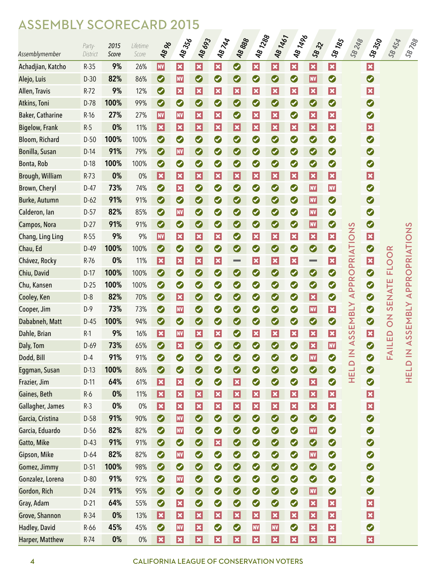# ASSEMBLY SCORECARD 2015

|                         | Party-   | 2015  | Lifetime | <b>48 %</b>                 | <b>48356</b>                | 48693                     | <b>48744</b>                | 48888                       | <b>481288</b>               | 48 1467                    | <b>481496</b>   | 5832            | <b>SB185</b>            | 58248                 | <b>SB</b> 350           | <b>SB 454</b>  | <b>SB 788</b>                             |
|-------------------------|----------|-------|----------|-----------------------------|-----------------------------|---------------------------|-----------------------------|-----------------------------|-----------------------------|----------------------------|-----------------|-----------------|-------------------------|-----------------------|-------------------------|----------------|-------------------------------------------|
| Assemblymember          | District | Score | Score    |                             |                             |                           |                             |                             |                             |                            |                 |                 |                         |                       |                         |                |                                           |
| Achadjian, Katcho       | $R-35$   | 9%    | 26%      | <b>NV</b>                   | $\vert x \vert$             | $\vert x \vert$           | $\vert x \vert$             | $\bullet$                   | $\vert x \vert$             | $\vert x \vert$            | $\vert x \vert$ | $ \mathbf{x} $  | $ \mathbf{x} $          |                       | $\vert x \vert$         |                |                                           |
| Alejo, Luis             | $D-30$   | 82%   | 86%      | $\bullet$                   | <b>NV</b>                   | $\bullet$                 | $\bullet$                   | $\bullet$                   | $\bullet$                   | $\bullet$                  | $\bullet$       | <b>NV</b>       | $\bullet$               |                       | $\bullet$               |                |                                           |
| Allen, Travis           | $R-72$   | 9%    | 12%      | $\bullet$                   | $ \boldsymbol{\mathsf{x}} $ | $ \mathbf{x} $            | $ \mathbf{x} $              | $ \mathbf{x} $              | $ \boldsymbol{\mathsf{x}} $ | $ \mathbf{x} $             | $ \mathbf{x} $  | $ \mathbf{x} $  | $ \mathbf{x} $          |                       | $\vert x \vert$         |                |                                           |
| Atkins, Toni            | D-78     | 100%  | 99%      | $\bullet$                   | $\bullet$                   | $\bullet$                 | $\bullet$                   | $\bullet$                   | $\bullet$                   | $\bullet$                  | $\bullet$       | $\bullet$       | $\bullet$               |                       | $\bullet$               |                |                                           |
| <b>Baker, Catharine</b> | $R-16$   | 27%   | 27%      | <b>NV</b>                   | <b>NV</b>                   | $ \mathbf{x} $            | $ \boldsymbol{\mathsf{x}} $ | $\bullet$                   | $ \mathbf{x} $              | $ \mathbf{x} $             | $\bullet$       | $ \mathbf{x} $  | $ \mathbf{x} $          |                       | $\bullet$               |                |                                           |
| <b>Bigelow, Frank</b>   | $R-5$    | 0%    | 11%      | $ \mathbf{x} $              | $ \boldsymbol{\mathsf{x}} $ | $ \mathbf{x} $            | $ \mathbf{x} $              | $ \mathbf{x} $              | $\vert x \vert$             | $ \mathbf{x} $             | $ \mathbf{x} $  | $ \mathbf{x} $  | $ \mathbf{x} $          |                       | $\vert x \vert$         |                |                                           |
| Bloom, Richard          | $D-50$   | 100%  | 100%     | $\bullet$                   | $\bullet$                   | $\bullet$                 | $\bullet$                   | $\bullet$                   | $\bullet$                   | $\bullet$                  | $\bullet$       | $\bullet$       | $\bullet$               |                       | $\bullet$               |                |                                           |
| Bonilla, Susan          | $D-14$   | 91%   | 79%      | $\bullet$                   | <b>NV</b>                   | $\bullet$                 | $\bullet$                   | $\bullet$                   | $\bullet$                   | $\bullet$                  | $\bullet$       | $\bullet$       | $\bullet$               |                       | $\bullet$               |                |                                           |
| Bonta, Rob              | $D-18$   | 100%  | 100%     | $\bullet$                   | $\bullet$                   | $\bullet$                 | $\bullet$                   | $\bullet$                   | $\bullet$                   | $\bullet$                  | $\bullet$       | $\bullet$       | $\bullet$               |                       | $\bullet$               |                |                                           |
| Brough, William         | $R-73$   | 0%    | 0%       | $ \mathbf{x} $              | $ \boldsymbol{\mathsf{x}} $ | $ \mathbf{x} $            | $ \mathbf{x} $              | $ \mathbf{x} $              | $ \mathbf{x} $              | $ \mathbf{x} $             | $ \mathbf{x} $  | $ \mathbf{x} $  | $ \mathbf{x} $          |                       | $\vert x \vert$         |                |                                           |
| Brown, Cheryl           | $D-47$   | 73%   | 74%      | $\bullet$                   | $ \mathbf{x} $              | $\bullet$                 | $\bullet$                   | $\bullet$                   | $\bullet$                   | $\bullet$                  | $\bullet$       | <b>NV</b>       | <b>NV</b>               |                       | $\bullet$               |                |                                           |
| Burke, Autumn           | $D-62$   | 91%   | 91%      | $\bullet$                   | $\bullet$                   | $\bullet$                 | $\bullet$                   | $\bullet$                   | $\bullet$                   | $\bullet$                  | $\bullet$       | <b>NV</b>       | $\bullet$               |                       | $\bullet$               |                |                                           |
| Calderon, lan           | $D-57$   | 82%   | 85%      | $\bullet$                   | <b>NV</b>                   | $\bullet$                 | $\bullet$                   | $\bullet$                   | $\bullet$                   | $\bullet$                  | $\bullet$       | <b>NV</b>       | $\bullet$               |                       | $\bullet$               |                |                                           |
| Campos, Nora            | $D-27$   | 91%   | 91%      | $\bullet$                   | $\bullet$                   | $\bullet$                 | $\bullet$                   | $\bullet$                   | $\bullet$                   | $\bullet$                  | $\bullet$       | <b>NV</b>       | $\bullet$               |                       | $\bullet$               |                |                                           |
| Chang, Ling Ling        | $R-55$   | 9%    | 9%       | <b>NV</b>                   | $ \mathbf{x} $              | $ \mathbf{x} $            | $ \boldsymbol{\mathsf{x}} $ | $\bullet$                   | $\vert x \vert$             | $ \mathbf{x} $             | $ \mathbf{x} $  | $ \mathbf{x} $  | $ \mathbf{x} $          |                       | $\vert x \vert$         |                |                                           |
| Chau, Ed                | $D-49$   | 100%  | 100%     | $\bullet$                   | $\bullet$                   | $\bullet$                 | $\bullet$                   | $\bullet$                   | $\bullet$                   | $\bullet$                  | $\bullet$       | $\bullet$       | $\bullet$               |                       | $\bullet$               |                |                                           |
| Chávez, Rocky           | R-76     | 0%    | 11%      | $ \boldsymbol{\mathsf{x}} $ | $\vert x \vert$             | $ \mathbf{x} $            | $ \mathbf{x} $              | <b>College</b>              | $ \boldsymbol{\mathsf{x}} $ | $ \mathbf{x} $             | $ \mathbf{x} $  |                 | $ \mathbf{x} $          |                       | $\vert x \vert$         | <b>FLOOR</b>   |                                           |
| Chiu, David             | $D-17$   | 100%  | 100%     | $\bullet$                   | $\bullet$                   | $\bullet$                 | $\bullet$                   | $\bullet$                   | $\bullet$                   | $\bullet$                  | $\bullet$       | $\bullet$       | $\bullet$               | <b>APPROPRIATIONS</b> | $\bullet$               |                | APPROPRIATIONS                            |
| Chu, Kansen             | $D-25$   | 100%  | 100%     | $\bullet$                   | $\bullet$                   | $\bullet$                 | $\bullet$                   | $\bullet$                   | $\bullet$                   | $\bullet$                  | $\bullet$       | $\bullet$       | $\bullet$               |                       | $\bullet$               |                |                                           |
| Cooley, Ken             | $D-8$    | 82%   | 70%      | $\bullet$                   | $ \boldsymbol{\mathsf{x}} $ | $\bullet$                 | $\bullet$                   | $\bullet$                   | $\bullet$                   | $\bullet$                  | $\bullet$       | $ \mathbf{x} $  | $\bullet$               |                       | $\bullet$               | <b>SENATE</b>  |                                           |
| Cooper, Jim             | $D-9$    | 73%   | 73%      | $\bullet$                   | <b>NV</b>                   | $\bullet$                 | $\bullet$                   | $\bullet$                   | $\bullet$                   | $\bullet$                  | $\bullet$       | <b>NV</b>       | $ \mathbf{x} $          |                       | $\bullet$               |                |                                           |
| Dababneh, Matt          | $D-45$   | 100%  | 94%      | $\bullet$                   | $\bullet$                   | $\bullet$                 | $\bullet$                   | $\bullet$                   | $\bullet$                   | $\bullet$                  | $\bullet$       | $\bullet$       | $\bullet$               | EMBLY                 | $\bullet$               | $\overline{0}$ | EMBLY                                     |
| Dahle, Brian            | $R-1$    | 9%    | 16%      | $ \mathbf{x} $              | <b>NV</b>                   | $\boldsymbol{\mathsf{x}}$ | $\pmb{\times}$              | $\bullet$                   | $\overline{\mathbf{x}}$     | $ \boldsymbol{\varkappa} $ | $ \mathbf{x} $  | $ \mathbf{x} $  | $\overline{\mathbf{x}}$ | <b>S</b>              | $\overline{\mathbf{x}}$ | $\Omega$       | <b>S</b>                                  |
| Daly, Tom               | $D-69$   | 73%   | 65%      | $\bullet$                   | $\vert x \vert$             | $\bullet$                 | $\bullet$                   | $\bullet$                   | $\bullet$                   | $\bullet$                  | $\bullet$       | $ \mathbf{x} $  | <b>NV</b>               | $\triangle$ S         | $\bullet$               | <b>FAILE</b>   | $\mathbf{\Omega}$<br>$\blacktriangleleft$ |
| Dodd, Bill              | $D-4$    | 91%   | 91%      | $\bullet$                   | $\bullet$                   | $\bullet$                 | $\bullet$                   | $\bullet$                   | 0                           | $\bullet$                  | $\bullet$       | <b>NV</b>       | $\bullet$               |                       | $\bullet$               |                |                                           |
| Eggman, Susan           | $D-13$   | 100%  | 86%      | $\bullet$                   | $\bullet$                   | $\bullet$                 | $\bullet$                   | $\bullet$                   | $\bullet$                   | $\bullet$                  | $\bullet$       | $\bullet$       | $\bullet$               | HELD IN               | $\bullet$               |                | HELD IN                                   |
| Frazier, Jim            | $D-11$   | 64%   | 61%      | $\vert x \vert$             | $\vert x \vert$             | $\bullet$                 | $\bullet$                   | $ \mathbf{x} $              | $\bullet$                   | $\bullet$                  | $\bullet$       | $\vert x \vert$ | $\bullet$               |                       | $\bullet$               |                |                                           |
| Gaines, Beth            | $R-6$    | 0%    | 11%      | $\vert \mathbf{x} \vert$    | $\vert x \vert$             | $\vert x \vert$           | $\overline{\mathbf{x}}$     | $ \mathbf{x} $              | $\vert x \vert$             | $\vert x \vert$            | $\vert x \vert$ | $ \mathbf{x} $  | $\vert x \vert$         |                       | $\vert x \vert$         |                |                                           |
| Gallagher, James        | $R-3$    | $0\%$ | $0\%$    | $\vert x \vert$             | $\vert x \vert$             | $\vert x \vert$           | $ \mathbf{x} $              | $ \boldsymbol{\mathsf{x}} $ | $\vert x \vert$             | $\vert x \vert$            | $\vert x \vert$ | $ \mathbf{x} $  | $ \mathbf{x} $          |                       | $\vert x \vert$         |                |                                           |
| Garcia, Cristina        | D-58     | 91%   | 90%      | $\bullet$                   | <b>NV</b>                   | $\bullet$                 | $\bullet$                   | $\bullet$                   | $\bullet$                   | $\bullet$                  | $\bullet$       | $\bullet$       | $\bullet$               |                       | $\bullet$               |                |                                           |
| Garcia, Eduardo         | D-56     | 82%   | 82%      | $\bullet$                   | <b>NV</b>                   | $\bullet$                 | $\bullet$                   | $\bullet$                   | $\bullet$                   | $\bullet$                  | $\bullet$       | <b>NV</b>       | $\bullet$               |                       | $\bullet$               |                |                                           |
| Gatto, Mike             | $D-43$   | 91%   | 91%      | $\bullet$                   | $\bullet$                   | $\bullet$                 | $\overline{\mathbf{x}}$     | $\bullet$                   | $\bullet$                   | $\bullet$                  | $\bullet$       | $\bullet$       | $\bullet$               |                       | $\bullet$               |                |                                           |
| Gipson, Mike            | $D-64$   | 82%   | 82%      | $\bullet$                   | <b>NV</b>                   | $\bullet$                 | $\bullet$                   | $\bullet$                   | $\bullet$                   | $\bullet$                  | $\bullet$       | <b>NV</b>       | $\bullet$               |                       | $\bullet$               |                |                                           |
| Gomez, Jimmy            | $D-51$   | 100%  | 98%      | $\bullet$                   | $\bullet$                   | $\bullet$                 | $\bullet$                   | $\bullet$                   | $\bullet$                   | $\bullet$                  | $\bullet$       | $\bullet$       | $\bullet$               |                       | $\bullet$               |                |                                           |
| Gonzalez, Lorena        | $D-80$   | 91%   | 92%      | $\bullet$                   | <b>NV</b>                   | $\bullet$                 | $\bullet$                   | $\bullet$                   | $\bullet$                   | $\bullet$                  | $\bullet$       | $\bullet$       | $\bullet$               |                       | $\bullet$               |                |                                           |
| Gordon, Rich            | $D-24$   | 91%   | 95%      | $\bullet$                   | $\bullet$                   | $\bullet$                 | $\bullet$                   | $\bullet$                   | $\bullet$                   | $\bullet$                  | $\bullet$       | <b>NV</b>       | $\bullet$               |                       | $\bullet$               |                |                                           |
| Gray, Adam              | $D-21$   | 64%   | 55%      | $\bullet$                   | $\vert x \vert$             | $\bullet$                 | $\bullet$                   | $\bullet$                   | $\bullet$                   | $\bullet$                  | $\bullet$       | $ \mathbf{x} $  | $\vert x \vert$         |                       | $\vert x \vert$         |                |                                           |
| Grove, Shannon          | $R-34$   | 0%    | 13%      | $\vert \mathbf{x} \vert$    | $\vert x \vert$             | $\vert x \vert$           | $\overline{\mathbf{x}}$     | $ \mathbf{x} $              | $\vert x \vert$             | $\vert x \vert$            | $\vert x \vert$ | $ \mathbf{x} $  | $\vert x \vert$         |                       | $\vert x \vert$         |                |                                           |
| Hadley, David           | $R-66$   | 45%   | 45%      | $\bullet$                   | <b>NV</b>                   | $\vert x \vert$           | $\bullet$                   | $\bullet$                   | <b>NV</b>                   | <b>NV</b>                  | $\bullet$       | $ \mathbf{x} $  | $\vert x \vert$         |                       | $\bullet$               |                |                                           |
| Harper, Matthew         | $R-74$   | 0%    | $0\%$    | $\vert x \vert$             | $\vert x \vert$             | $\vert x \vert$           | $\vert x \vert$             | $\vert x \vert$             | $\vert x \vert$             | $\vert \mathbf{x} \vert$   | $\vert x \vert$ | $ \mathbf{x} $  | $\vert x \vert$         |                       | $\vert x \vert$         |                |                                           |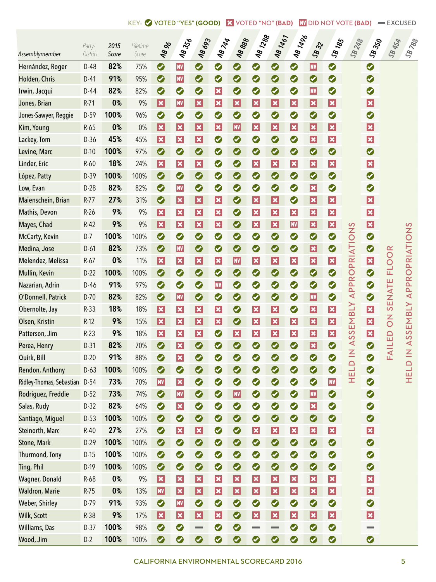| Assemblymember           | Party-<br>District | 2015<br>Score | Lifetime<br>Score | <b>AB 96</b>                | <b>48356</b>                | 48693                       | <b>AB744</b>                | 48888                       | <b>481288</b>   | 48 1467                  | <b>481496</b>               | 5832                     | <b>SB185</b>            | 58248                 | <b>SB</b> 350           | <b>SB 454</b>  | <b>SB 788</b>        |
|--------------------------|--------------------|---------------|-------------------|-----------------------------|-----------------------------|-----------------------------|-----------------------------|-----------------------------|-----------------|--------------------------|-----------------------------|--------------------------|-------------------------|-----------------------|-------------------------|----------------|----------------------|
| Hernández, Roger         | D-48               | 82%           | 75%               | $\bullet$                   | <b>NV</b>                   | $\bullet$                   | $\bullet$                   | $\bullet$                   | $\bullet$       | $\bullet$                | $\bullet$                   | $\vert$ nv $\vert$       | $\bullet$               |                       | $\bullet$               |                |                      |
| Holden, Chris            | $D-41$             | 91%           | 95%               | $\bullet$                   | <b>NV</b>                   | $\bullet$                   | $\bullet$                   | $\bullet$                   | $\bullet$       | $\bullet$                | $\bullet$                   | $\bullet$                | $\bullet$               |                       | $\bullet$               |                |                      |
| Irwin, Jacqui            | $D-44$             | 82%           | 82%               | $\bullet$                   | $\bullet$                   | $\bullet$                   | $ \boldsymbol{\mathsf{x}} $ | $\bullet$                   | $\bullet$       | $\bullet$                | $\bullet$                   | <b>NV</b>                | $\bullet$               |                       | $\bullet$               |                |                      |
| Jones, Brian             | $R-71$             | 0%            | 9%                | $ \mathbf{x} $              | <b>NV</b>                   | $ \mathbf{x} $              | $ \boldsymbol{\mathsf{x}} $ | $ \boldsymbol{\mathsf{x}} $ | $ \mathbf{x} $  | $ \mathbf{x} $           | $ \boldsymbol{\mathsf{x}} $ | $ \mathbf{x} $           | $ \mathbf{x} $          |                       | $\vert x \vert$         |                |                      |
| Jones-Sawyer, Reggie     | D-59               | 100%          | 96%               | $\bullet$                   | $\bullet$                   | $\bullet$                   | $\bullet$                   | $\bullet$                   | $\bullet$       | $\bullet$                | $\bullet$                   | $\bullet$                | $\bullet$               |                       | $\bullet$               |                |                      |
| Kim, Young               | $R-65$             | 0%            | 0%                | $ \mathbf{x} $              | $ \mathbf{x} $              | $ \mathbf{x} $              | $ \boldsymbol{\mathsf{x}} $ | <b>NV</b>                   | $ \mathbf{x} $  | $\vert \mathbf{x} \vert$ | $ \boldsymbol{\mathsf{x}} $ | $ \mathbf{x} $           | $ \mathbf{x} $          |                       | $\vert x \vert$         |                |                      |
| Lackey, Tom              | D-36               | 45%           | 45%               | $ \mathbf{x} $              | $ \boldsymbol{\mathsf{x}} $ | $ \boldsymbol{\mathsf{x}} $ | $\bullet$                   | $\bullet$                   | $\bullet$       | $\bullet$                | $\bullet$                   | $ \mathbf{x} $           | $ \mathbf{x} $          |                       | $\vert x \vert$         |                |                      |
| Levine, Marc             | $D-10$             | 100%          | 97%               | $\bullet$                   | $\bullet$                   | $\bullet$                   | $\bullet$                   | $\bullet$                   | $\bullet$       | $\bullet$                | $\bullet$                   | $\bullet$                | $\bullet$               |                       | $\bullet$               |                |                      |
| Linder, Eric             | $R-60$             | 18%           | 24%               | $ \mathbf{x} $              | $ \boldsymbol{\mathsf{x}} $ | $\vert x \vert$             | $\bullet$                   | $\bullet$                   | $ \mathbf{x} $  | $ \mathbf{x} $           | $ \boldsymbol{\mathsf{x}} $ | $ \mathbf{x} $           | $ \mathbf{x} $          |                       | $\vert x \vert$         |                |                      |
| López, Patty             | D-39               | 100%          | 100%              | $\bullet$                   | $\bullet$                   | $\bullet$                   | $\bullet$                   | $\bullet$                   | $\bullet$       | $\bullet$                | $\bullet$                   | $\bullet$                | $\bullet$               |                       | $\bullet$               |                |                      |
| Low, Evan                | $D-28$             | 82%           | 82%               | $\bullet$                   | <b>NV</b>                   | $\bullet$                   | $\bullet$                   | $\bullet$                   | $\bullet$       | $\bullet$                | $\bullet$                   | $ \mathbf{x} $           | $\bullet$               |                       | $\bullet$               |                |                      |
| Maienschein, Brian       | $R-77$             | 27%           | 31%               | $\bullet$                   | $ \boldsymbol{\mathsf{x}} $ | $\vert x \vert$             | $ \boldsymbol{\mathsf{x}} $ | $\bullet$                   | $ \mathbf{x} $  | $ \mathbf{x} $           | $\bullet$                   | $ \mathbf{x} $           | $ \mathbf{x} $          |                       | $\vert x \vert$         |                |                      |
| Mathis, Devon            | $R-26$             | 9%            | 9%                | $ \mathbf{x} $              | $ \mathbf{x} $              | $ \boldsymbol{\mathsf{x}} $ | $ \mathbf{x} $              | $\bullet$                   | $ \mathbf{x} $  | $ \mathbf{x} $           | $ \mathbf{x} $              | $ \mathbf{x} $           | $ \mathbf{x} $          |                       | $\vert x \vert$         |                |                      |
| Mayes, Chad              | $R-42$             | 9%            | 9%                | $ \mathbf{x} $              | $ \mathbf{x} $              | $ \boldsymbol{\mathsf{x}} $ | $ \mathbf{x} $              | $\bullet$                   | $ \mathbf{x} $  | $\vert \mathbf{x} \vert$ | <b>NV</b>                   | $ \mathbf{x} $           | $ \mathbf{x} $          |                       | $\vert x \vert$         |                |                      |
| McCarty, Kevin           | $D-7$              | 100%          | 100%              | $\bullet$                   | $\bullet$                   | $\bullet$                   | $\bullet$                   | $\bullet$                   | $\bullet$       | $\bullet$                | $\bullet$                   | $\bullet$                | $\bullet$               |                       | $\bullet$               |                |                      |
| Medina, Jose             | $D-61$             | 82%           | 73%               | $\bullet$                   | <b>NV</b>                   | $\bullet$                   | $\bullet$                   | $\bullet$                   | $\bullet$       | $\bullet$                | $\bullet$                   | $ \mathbf{x} $           | $\bullet$               |                       | $\bullet$               |                |                      |
| Melendez, Melissa        | $R-67$             | 0%            | 11%               | $ \mathbf{x} $              | $ \boldsymbol{\mathsf{x}} $ | $ \boldsymbol{\mathsf{x}} $ | $ \boldsymbol{\mathsf{x}} $ | <b>NV</b>                   | $ \mathbf{x} $  | $ \mathbf{x} $           | $ \boldsymbol{\mathsf{x}} $ | $ \mathbf{x} $           | $ \mathbf{x} $          | APPROPRIATIONS        | $\vert x \vert$         | <b>FLOOR</b>   | APPROPRIATIONS       |
| Mullin, Kevin            | $D-22$             | 100%          | 100%              | $\bullet$                   | $\bullet$                   | $\bullet$                   | $\bullet$                   | $\bullet$                   | $\bullet$       | $\bullet$                | $\bullet$                   | $\bullet$                | $\bullet$               |                       | $\bullet$               |                |                      |
| Nazarian, Adrin          | $D-46$             | 91%           | 97%               | $\bullet$                   | $\bullet$                   | $\bullet$                   | <b>NV</b>                   | $\bullet$                   | $\bullet$       | $\bullet$                | $\bullet$                   | $\bullet$                | $\bullet$               |                       | $\bullet$               |                |                      |
| O'Donnell, Patrick       | $D-70$             | 82%           | 82%               | $\bullet$                   | <b>NV</b>                   | $\bullet$                   | $\bullet$                   | $\bullet$                   | $\bullet$       | $\bullet$                | $\bullet$                   | $\vert$ NV $\vert$       | $\bullet$               |                       | $\bullet$               | <b>SENATE</b>  |                      |
| Obernolte, Jay           | $R-33$             | 18%           | 18%               | $ \mathbf{x} $              | $ \boldsymbol{\mathsf{x}} $ | $\vert x \vert$             | $ \mathbf{x} $              | $\bullet$                   | $ \mathbf{x} $  | $\vert x \vert$          | $\bullet$                   | $ \mathbf{x} $           | $ \mathbf{x} $          | <b>N<sub>1</sub>8</b> | $\vert x \vert$         |                |                      |
| Olsen, Kristin           | $R-12$             | 9%            | 15%               | $ \mathbf{x} $              | $ \mathbf{x} $              | $ \boldsymbol{\mathsf{x}} $ | $ \boldsymbol{\mathsf{x}} $ | $\bullet$                   | $ \mathbf{x} $  | $ \mathbf{x} $           | $ \boldsymbol{\mathsf{x}} $ | $ \mathbf{x} $           | $ \mathbf{x} $          | $\overline{\Sigma}$   | $\vert x \vert$         | $\overline{6}$ | EMBLY                |
| Patterson, Jim           | $R-23$             | 9%            | 18%               | $ \boldsymbol{\mathsf{x}} $ | $\boldsymbol{\mathsf{x}}$   | $\vert x \vert$             | $\bullet$                   | $ \boldsymbol{\varkappa} $  | $\vert x \vert$ | $\vert x \vert$          | $\boldsymbol{\mathsf{x}}$   | $ \mathbf{x} $           | $\overline{\mathbf{x}}$ | <b>S</b>              | $\overline{\mathbf{x}}$ | $\Omega$       | $\mathfrak o$        |
| Perea, Henry             | $D-31$             | 82%           | 70%               | $\bullet$                   | $ \mathbf{x} $              | $\bullet$                   | $\bullet$                   | $\bullet$                   | $\bullet$       | $\bullet$                | $\bullet$                   | $ \mathbf{x} $           | $\bullet$               | HELD IN AS            | $\bullet$               | <b>FAILE</b>   | $\blacktriangleleft$ |
| Quirk, Bill              | $D-20$             | 91%           | 88%               | $\bullet$                   | $\vert x \vert$             | $\bullet$                   | $\bullet$                   | $\bullet$                   | $\bullet$       | $\bullet$                | 0                           | $\bullet$                | $\bullet$               |                       | $\bullet$               |                |                      |
| Rendon, Anthony          | $D-63$             | 100%          | 100%              | $\bullet$                   | $\bullet$                   | $\bullet$                   | $\bullet$                   | $\bullet$                   | $\bullet$       | $\bullet$                | $\bullet$                   | $\bullet$                | $\bullet$               |                       | $\bullet$               |                | HELD IN              |
| Ridley-Thomas, Sebastian | D-54               | 73%           | 70%               | $\vert$ NV $\vert$          | $\vert x \vert$             | $\bullet$                   | $\bullet$                   | $\bullet$                   | $\bullet$       | $\bullet$                | $\bullet$                   | $\bullet$                | <b>NV</b>               |                       | $\bullet$               |                |                      |
| Rodriguez, Freddie       | $D-52$             | 73%           | 74%               | $\bullet$                   | <b>NV</b>                   | $\bullet$                   | $\bullet$                   | $ \mathbf{N}\mathbf{V} $    | $\bullet$       | $\bullet$                | $\bullet$                   | $\vert$ nv $\vert$       | $\bullet$               |                       | $\bullet$               |                |                      |
| Salas, Rudy              | $D-32$             | 82%           | 64%               | $\bullet$                   | $\vert x \vert$             | $\bullet$                   | $\bullet$                   | $\bullet$                   | $\bullet$       | $\bullet$                | $\bullet$                   | $\vert \mathbf{x} \vert$ | $\bullet$               |                       | $\bullet$               |                |                      |
| Santiago, Miguel         | $D-53$             | 100%          | 100%              | $\bullet$                   | $\bullet$                   | $\bullet$                   | $\bullet$                   | $\bullet$                   | $\bullet$       | $\bullet$                | $\bullet$                   | $\bullet$                | $\bullet$               |                       | $\bullet$               |                |                      |
| Steinorth, Marc          | $R-40$             | 27%           | 27%               | $\bullet$                   | $\vert x \vert$             | $\vert x \vert$             | $\bullet$                   | $\bullet$                   | $ \mathbf{x} $  | $\vert x \vert$          | $ \mathbf{x} $              | $ \mathbf{x} $           | $ \mathbf{x} $          |                       | $\vert x \vert$         |                |                      |
| Stone, Mark              | $D-29$             | 100%          | 100%              | $\bullet$                   | $\bullet$                   | $\bullet$                   | $\bullet$                   | $\bullet$                   | $\bullet$       | $\bullet$                | $\bullet$                   | $\bullet$                | $\bullet$               |                       | $\bullet$               |                |                      |
| Thurmond, Tony           | $D-15$             | 100%          | 100%              | $\bullet$                   | $\bullet$                   | $\bullet$                   | $\bullet$                   | $\bullet$                   | $\bullet$       | $\bullet$                | $\bullet$                   | $\bullet$                | $\bullet$               |                       | $\bullet$               |                |                      |
| Ting, Phil               | D-19               | 100%          | 100%              | $\bullet$                   | $\bullet$                   | $\bullet$                   | $\bullet$                   | $\bullet$                   | $\bullet$       | $\bullet$                | $\bullet$                   | $\bullet$                | $\bullet$               |                       | $\bullet$               |                |                      |
| Wagner, Donald           | $R-68$             | 0%            | $9\%$             | $\vert \mathbf{x} \vert$    | $\vert x \vert$             | $\vert x \vert$             | $\vert x \vert$             | $ \boldsymbol{\mathsf{x}} $ | $ \mathbf{x} $  | $\vert x \vert$          | $ \mathbf{x} $              | $ \mathbf{x} $           | $\vert x \vert$         |                       | $\vert x \vert$         |                |                      |
| <b>Waldron, Marie</b>    | $R-75$             | 0%            | 13%               | <b>NV</b>                   | $\vert x \vert$             | $\vert x \vert$             | $\vert x \vert$             | $ \boldsymbol{\mathsf{x}} $ | $ \mathbf{x} $  | $\vert x \vert$          | $ \mathbf{x} $              | $ \mathbf{x} $           | $ \mathbf{x} $          |                       | $\vert x \vert$         |                |                      |
| Weber, Shirley           | D-79               | 91%           | 93%               | $\bullet$                   | <b>NV</b>                   | $\bullet$                   | $\bullet$                   | $\bullet$                   | $\bullet$       | $\bullet$                | $\bullet$                   | $\bullet$                | $\bullet$               |                       | $\bullet$               |                |                      |
| Wilk, Scott              | R-38               | 9%            | 17%               | $ \mathbf{x} $              | $\vert x \vert$             | $\vert x \vert$             | $\vert x \vert$             | $\bullet$                   | $ \mathbf{x} $  | $\vert x \vert$          | $ \mathbf{x} $              | $ \mathbf{x} $           | $\vert x \vert$         |                       | $\vert x \vert$         |                |                      |
| Williams, Das            | $D-37$             | 100%          | 98%               | $\bullet$                   | $\bullet$                   |                             | $\bullet$                   | $\bullet$                   | <b>College</b>  | $\sim$                   | $\bullet$                   | $\bullet$                | $\bullet$               |                       | <b>Contract</b>         |                |                      |
| Wood, Jim                | $D-2$              | 100%          | 100%              | $\bullet$                   | $\bullet$                   | $\bullet$                   | $\bullet$                   | $\bullet$                   | $\bullet$       | $\bullet$                | $\bullet$                   | $\bullet$                | $\bullet$               |                       | $\bullet$               |                |                      |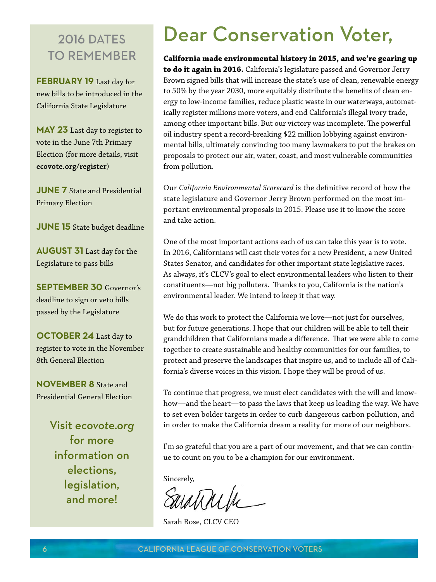### **2016 DATES** to remember

**February 19** Last day for new bills to be introduced in the California State Legislature

**May 23** Last day to register to [vote in the June 7th Primary](http://www.ecovote.org/register)  Election (for more details, visit **[ecovote.org/register](http://www.ecovote.org/register)**)

**JUNE 7** State and Presidential Primary Election

**JUNE 15** State budget deadline

**August 31** Last day for the Legislature to pass bills

**September 30** Governor's deadline to sign or veto bills passed by the Legislature

**OCTOBER 24** Last day to [register to vote in the November](http://www.ecovote.org/register)  8th General Election

**NOVEMBER 8** State and Presidential General Election

> Visit *[ecovote.org](http://www.ecovote.org/)* for more information on elections, legislation, and more!

# Dear Conservation Voter,

**California made environmental history in 2015, and we're gearing up to do it again in 2016.** California's legislature passed and Governor Jerry Brown signed bills that will increase the state's use of clean, renewable energy to 50% by the year 2030, more equitably distribute the benefits of clean energy to low-income families, reduce plastic waste in our waterways, automatically register millions more voters, and end California's illegal ivory trade, among other important bills. But our victory was incomplete. The powerful oil industry spent a record-breaking \$22 million lobbying against environmental bills, ultimately convincing too many lawmakers to put the brakes on proposals to protect our air, water, coast, and most vulnerable communities from pollution.

Our *California Environmental Scorecard* is the definitive record of how the state legislature and Governor Jerry Brown performed on the most important environmental proposals in 2015. Please use it to know the score and take action.

One of the most important actions each of us can take this year is to vote. In 2016, Californians will cast their votes for a new President, a new United States Senator, and candidates for other important state legislative races. As always, it's CLCV's goal to elect environmental leaders who listen to their constituents—not big polluters. Thanks to you, California is the nation's environmental leader. We intend to keep it that way.

We do this work to protect the California we love—not just for ourselves, but for future generations. I hope that our children will be able to tell their grandchildren that Californians made a difference. That we were able to come together to create sustainable and healthy communities for our families, to protect and preserve the landscapes that inspire us, and to include all of California's diverse voices in this vision. I hope they will be proud of us.

To continue that progress, we must elect candidates with the will and knowhow—and the heart—to pass the laws that keep us leading the way. We have to set even bolder targets in order to curb dangerous carbon pollution, and in order to make the California dream a reality for more of our neighbors.

I'm so grateful that you are a part of our movement, and that we can continue to count on you to be a champion for our environment.

Sincerely,

Saratinin

Sarah Rose, CLCV CEO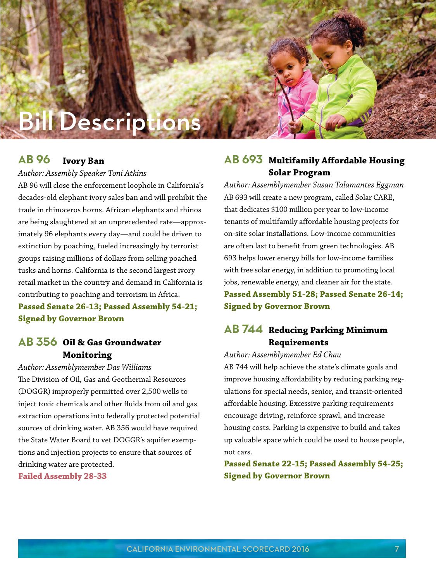# **Bill Descript**

#### **Ivory Ban AB 96**

*Author: Assembly Speaker Toni Atkins*

AB 96 will close the enforcement loophole in California's decades-old elephant ivory sales ban and will prohibit the trade in rhinoceros horns. African elephants and rhinos are being slaughtered at an unprecedented rate—approximately 96 elephants every day—and could be driven to extinction by poaching, fueled increasingly by terrorist groups raising millions of dollars from selling poached tusks and horns. California is the second largest ivory retail market in the country and demand in California is contributing to poaching and terrorism in Africa. **Passed Senate 26-13; Passed Assembly 54-21; Signed by Governor Brown**

#### **Oil & Gas Groundwater AB 356 Monitoring**

*Author: Assemblymember Das Williams* The Division of Oil, Gas and Geothermal Resources (DOGGR) improperly permitted over 2,500 wells to inject toxic chemicals and other fluids from oil and gas extraction operations into federally protected potential sources of drinking water. AB 356 would have required the State Water Board to vet DOGGR's aquifer exemptions and injection projects to ensure that sources of drinking water are protected.

**Failed Assembly 28-33**

#### AB 693 Multifamily Affordable Housing **Solar Program**

*Author: Assemblymember Susan Talamantes Eggman* AB 693 will create a new program, called Solar CARE, that dedicates \$100 million per year to low-income tenants of multifamily affordable housing projects for on-site solar installations. Low-income communities are often last to benefit from green technologies. AB 693 helps lower energy bills for low-income families with free solar energy, in addition to promoting local jobs, renewable energy, and cleaner air for the state. **Passed Assembly 51-28; Passed Senate 26-14; Signed by Governor Brown**

#### **Reducing Parking Minimum AB 744Requirements**

*Author: Assemblymember Ed Chau*

AB 744 will help achieve the state's climate goals and improve housing affordability by reducing parking regulations for special needs, senior, and transit-oriented affordable housing. Excessive parking requirements encourage driving, reinforce sprawl, and increase housing costs. Parking is expensive to build and takes up valuable space which could be used to house people, not cars.

**Passed Senate 22-15; Passed Assembly 54-25; Signed by Governor Brown**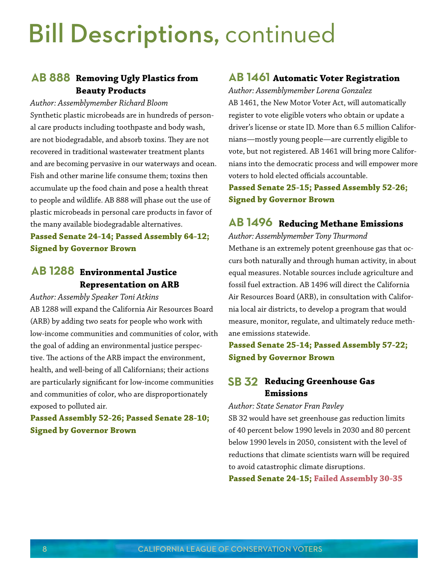# Bill Descriptions, continued

#### **Removing Ugly Plastics from AB 888 Beauty Products**

*Author: Assemblymember Richard Bloom* Synthetic plastic microbeads are in hundreds of personal care products including toothpaste and body wash, are not biodegradable, and absorb toxins. They are not recovered in traditional wastewater treatment plants and are becoming pervasive in our waterways and ocean. Fish and other marine life consume them; toxins then accumulate up the food chain and pose a health threat to people and wildlife. AB 888 will phase out the use of plastic microbeads in personal care products in favor of the many available biodegradable alternatives.

#### **Passed Senate 24-14; Passed Assembly 64-12; Signed by Governor Brown**

#### **Environmental Justice AB 1288 Representation on ARB**

*Author: Assembly Speaker Toni Atkins* AB 1288 will expand the California Air Resources Board (ARB) by adding two seats for people who work with low-income communities and communities of color, with the goal of adding an environmental justice perspective. The actions of the ARB impact the environment, health, and well-being of all Californians; their actions are particularly significant for low-income communities and communities of color, who are disproportionately exposed to polluted air.

#### **Passed Assembly 52-26; Passed Senate 28-10; Signed by Governor Brown**

#### **AB 1461** Automatic Voter Registration

*Author: Assemblymember Lorena Gonzalez* AB 1461, the New Motor Voter Act, will automatically register to vote eligible voters who obtain or update a driver's license or state ID. More than 6.5 million Californians—mostly young people—are currently eligible to vote, but not registered. AB 1461 will bring more Californians into the democratic process and will empower more voters to hold elected officials accountable.

**Passed Senate 25-15; Passed Assembly 52-26; Signed by Governor Brown**

#### **Reducing Methane Emissions AB 1496**

*Author: Assemblymember Tony Thurmond* Methane is an extremely potent greenhouse gas that occurs both naturally and through human activity, in about equal measures. Notable sources include agriculture and fossil fuel extraction. AB 1496 will direct the California Air Resources Board (ARB), in consultation with California local air districts, to develop a program that would measure, monitor, regulate, and ultimately reduce methane emissions statewide.

#### **Passed Senate 25-14; Passed Assembly 57-22; Signed by Governor Brown**

#### **SB 32 Reducing Greenhouse Gas Emissions**

*Author: State Senator Fran Pavley*

SB 32 would have set greenhouse gas reduction limits of 40 percent below 1990 levels in 2030 and 80 percent below 1990 levels in 2050, consistent with the level of reductions that climate scientists warn will be required to avoid catastrophic climate disruptions.

**Passed Senate 24-15; Failed Assembly 30-35**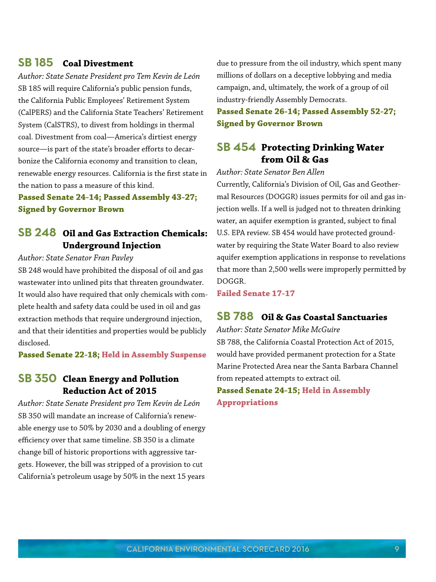#### **Coal Divestment SB 185**

*Author: State Senate President pro Tem Kevin de León* SB 185 will require California's public pension funds, the California Public Employees' Retirement System (CalPERS) and the California State Teachers' Retirement System (CalSTRS), to divest from holdings in thermal coal. Divestment from coal—America's dirtiest energy source—is part of the state's broader efforts to decarbonize the California economy and transition to clean, renewable energy resources. California is the first state in the nation to pass a measure of this kind.

#### **Passed Senate 24-14; Passed Assembly 43-27; Signed by Governor Brown**

#### **Oil and Gas Extraction Chemicals: SB 248 Underground Injection**

#### *Author: State Senator Fran Pavley*

SB 248 would have prohibited the disposal of oil and gas wastewater into unlined pits that threaten groundwater. It would also have required that only chemicals with complete health and safety data could be used in oil and gas extraction methods that require underground injection, and that their identities and properties would be publicly disclosed.

**Passed Senate 22-18; Held in Assembly Suspense**

#### **Clean Energy and Pollution SB 350 Reduction Act of 2015**

*Author: State Senate President pro Tem Kevin de León* SB 350 will mandate an increase of California's renewable energy use to 50% by 2030 and a doubling of energy efficiency over that same timeline. SB 350 is a climate change bill of historic proportions with aggressive targets. However, the bill was stripped of a provision to cut California's petroleum usage by 50% in the next 15 years

due to pressure from the oil industry, which spent many millions of dollars on a deceptive lobbying and media campaign, and, ultimately, the work of a group of oil industry-friendly Assembly Democrats.

**Passed Senate 26-14; Passed Assembly 52-27; Signed by Governor Brown**

#### **Protecting Drinking Water SB 454 from Oil & Gas**

*Author: State Senator Ben Allen*

Currently, California's Division of Oil, Gas and Geothermal Resources (DOGGR) issues permits for oil and gas injection wells. If a well is judged not to threaten drinking water, an aquifer exemption is granted, subject to final U.S. EPA review. SB 454 would have protected groundwater by requiring the State Water Board to also review aquifer exemption applications in response to revelations that more than 2,500 wells were improperly permitted by DOGGR.

**Failed Senate 17-17**

#### **Oil & Gas Coastal Sanctuaries SB 788**

*Author: State Senator Mike McGuire* SB 788, the California Coastal Protection Act of 2015, would have provided permanent protection for a State Marine Protected Area near the Santa Barbara Channel from repeated attempts to extract oil. **Passed Senate 24-15; Held in Assembly Appropriations**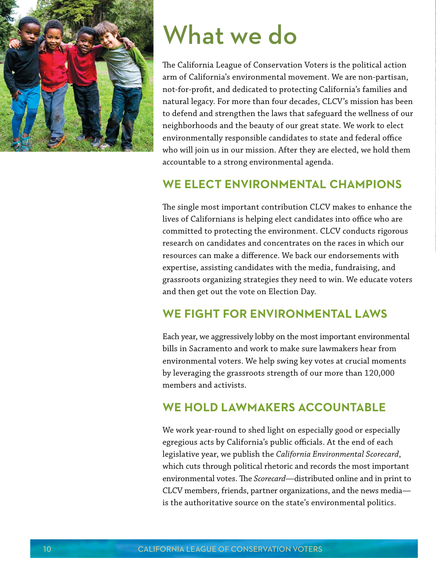

# What we do

The California League of Conservation Voters is the political action arm of California's environmental movement. We are non-partisan, not-for-profit, and dedicated to protecting California's families and natural legacy. For more than four decades, CLCV's mission has been to defend and strengthen the laws that safeguard the wellness of our neighborhoods and the beauty of our great state. We work to elect environmentally responsible candidates to state and federal office who will join us in our mission. After they are elected, we hold them accountable to a strong environmental agenda.

### **WE ELECT ENVIRONMENTAL CHAMPIONS**

The single most important contribution CLCV makes to enhance the lives of Californians is helping elect candidates into office who are committed to protecting the environment. CLCV conducts rigorous research on candidates and concentrates on the races in which our resources can make a difference. We back our endorsements with expertise, assisting candidates with the media, fundraising, and grassroots organizing strategies they need to win. We educate voters and then get out the vote on Election Day.

### **WE FIGHT FOR ENVIRONMENTAL LAWS**

Each year, we aggressively lobby on the most important environmental bills in Sacramento and work to make sure lawmakers hear from environmental voters. We help swing key votes at crucial moments by leveraging the grassroots strength of our more than 120,000 members and activists.

#### **WE HOLD LAWMAKERS ACCOUNTABLE**

We work year-round to shed light on especially good or especially egregious acts by California's public officials. At the end of each legislative year, we publish the *California Environmental Scorecard*, which cuts through political rhetoric and records the most important environmental votes. The *Scorecard*—distributed online and in print to CLCV members, friends, partner organizations, and the news media is the authoritative source on the state's environmental politics.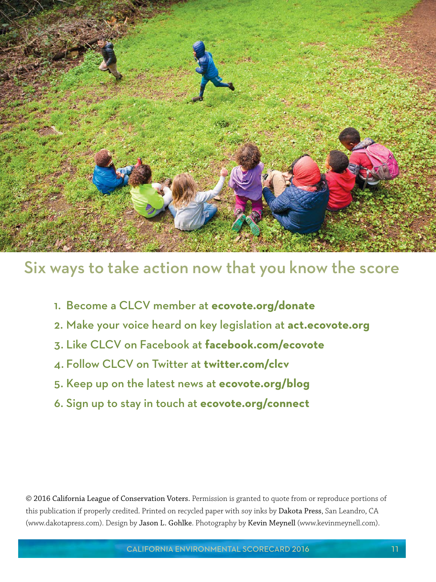

# Six ways to take action now that you know the score

- 1. Become a CLCV member at **[ecovote.org/donate](http://www.ecovote.org/donate)**
- 2. Make your voice heard on key legislation at **[act.ecovote.org](http://act.ecovote.org/)**
- 3. Like CLCV on Facebook at **[facebook.com/ecovote](http://www.facebook.com/ecovote)**
- 4. Follow CLCV on Twitter at **[twitter.com/clcv](http://twitter.com/clcv)**
- 5. Keep up on the latest news at **[ecovote.org/blog](http://www.ecovote.org/blog)**
- 6. Sign up to stay in touch at **[ecovote.org/connect](http://www.ecovote.org/connect)**

© 2016 California League of Conservation Voters. Permission is granted to quote from or reproduce portions of this publication if properly credited. Printed on recycled paper with soy inks by Dakota Press, San Leandro, CA [\(www.dakotapress.com\)](http://www.dakotapress.com/). Design by [Jason L. Gohlke](http://gohlke.net/). Photography by Kevin Meynell [\(www.kevinmeynell.com\)](http://www.kevinmeynell.com/).